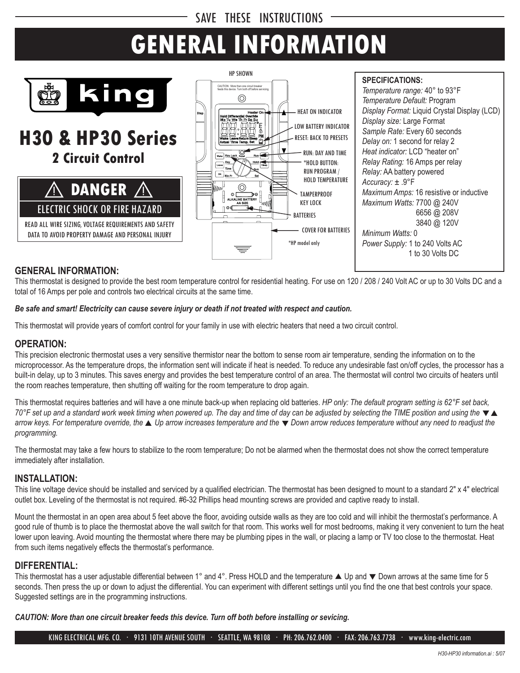# SAVE THESE INSTRUCTIONS

# **GENERAL INFORMATION**



# **H30 & HP30 Series 2 Circuit Control**



DATA TO AVOID PROPERTY DAMAGE AND PERSONAL INJURY



**SPECIFICATIONS:**

*Temperature range:* 40° to 93°F *Temperature Default:* Program *Display Format:* Liquid Crystal Display (LCD) *Display size:* Large Format *Sample Rate:* Every 60 seconds *Delay on:* 1 second for relay 2 *Heat indicator:* LCD "heater on" *Relay Rating:* 16 Amps per relay *Relay:* AA battery powered *Accuracy:* ± .9°F *Maximum Amps:* 16 resistive or inductive *Maximum Watts:* 7700 @ 240V 6656 @ 208V 3840 @ 120V *Minimum Watts:* 0 *Power Supply:* 1 to 240 Volts AC 1 to 30 Volts DC

## **GENERAL INFORMATION:**

This thermostat is designed to provide the best room temperature control for residential heating. For use on 120 / 208 / 240 Volt AC or up to 30 Volts DC and a total of 16 Amps per pole and controls two electrical circuits at the same time.

### *Be safe and smart! Electricity can cause severe injury or death if not treated with respect and caution.*

This thermostat will provide years of comfort control for your family in use with electric heaters that need a two circuit control.

### **OPERATION:**

This precision electronic thermostat uses a very sensitive thermistor near the bottom to sense room air temperature, sending the information on to the microprocessor. As the temperature drops, the information sent will indicate if heat is needed. To reduce any undesirable fast on/off cycles, the processor has a built-in delay, up to 3 minutes. This saves energy and provides the best temperature control of an area. The thermostat will control two circuits of heaters until the room reaches temperature, then shutting off waiting for the room temperature to drop again.

This thermostat requires batteries and will have a one minute back-up when replacing old batteries. *HP only: The default program setting is 62°F set back, 70*°F set up and a standard work week timing when powered up. The day and time of day can be adjusted by selecting the TIME position and using the ▼▲ *arrow keys. For temperature override, the ▲ Up arrow increases temperature and the* ▼ *Down arrow reduces temperature without any need to readjust the programming.*

The thermostat may take a few hours to stabilize to the room temperature; Do not be alarmed when the thermostat does not show the correct temperature immediately after installation.

### **INSTALLATION:**

This line voltage device should be installed and serviced by a qualified electrician. The thermostat has been designed to mount to a standard 2" x 4" electrical outlet box. Leveling of the thermostat is not required. #6-32 Phillips head mounting screws are provided and captive ready to install.

Mount the thermostat in an open area about 5 feet above the floor, avoiding outside walls as they are too cold and will inhibit the thermostat's performance. A good rule of thumb is to place the thermostat above the wall switch for that room. This works well for most bedrooms, making it very convenient to turn the heat lower upon leaving. Avoid mounting the thermostat where there may be plumbing pipes in the wall, or placing a lamp or TV too close to the thermostat. Heat from such items negatively effects the thermostat's performance.

## **DIFFERENTIAL:**

This thermostat has a user adjustable differential between 1° and 4°. Press HOLD and the temperature  $\blacktriangle$  Up and  $\blacktriangledown$  Down arrows at the same time for 5 seconds. Then press the up or down to adjust the differential. You can experiment with different settings until you find the one that best controls your space. Suggested settings are in the programming instructions.

*CAUTION: More than one circuit breaker feeds this device. Turn off both before installing or sevicing.*

KING ELECTRICAL MFG. CO. · 9131 10TH AVENUE SOUTH · SEATTLE, WA 98108 · PH: 206.762.0400 · FAX: 206.763.7738 · www.king-electric.com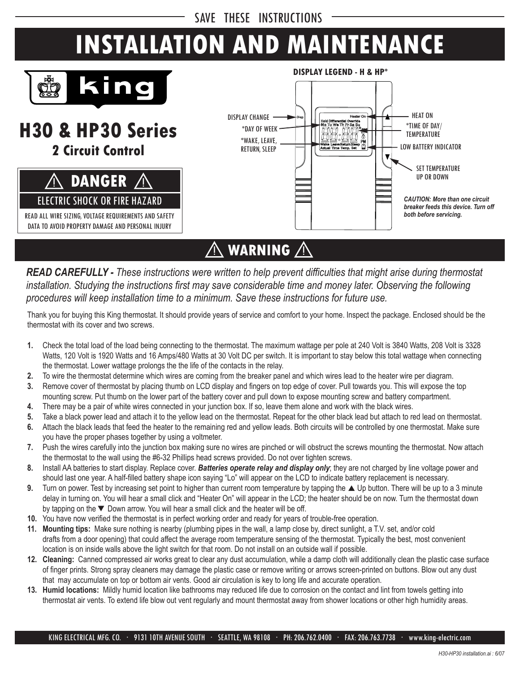SAVE THESE INSTRUCTIONS

# **INSTALLATION AND MAINTENANCE**



**H30 & HP30 Series**

**2 Circuit Control**





# $\bigwedge$  warning  $\bigwedge$

*READ CAREFULLY - These instructions were written to help prevent difficulties that might arise during thermostat*  installation. Studying the instructions first may save considerable time and money later. Observing the following *procedures will keep installation time to a minimum. Save these instructions for future use.* 

Thank you for buying this King thermostat. It should provide years of service and comfort to your home. Inspect the package. Enclosed should be the thermostat with its cover and two screws.

- **1.** Check the total load of the load being connecting to the thermostat. The maximum wattage per pole at 240 Volt is 3840 Watts, 208 Volt is 3328 Watts, 120 Volt is 1920 Watts and 16 Amps/480 Watts at 30 Volt DC per switch. It is important to stay below this total wattage when connecting the thermostat. Lower wattage prolongs the the life of the contacts in the relay.
- **2.** To wire the thermostat determine which wires are coming from the breaker panel and which wires lead to the heater wire per diagram.
- **3.** Remove cover of thermostat by placing thumb on LCD display and fingers on top edge of cover. Pull towards you. This will expose the top mounting screw. Put thumb on the lower part of the battery cover and pull down to expose mounting screw and battery compartment.
- **4.** There may be a pair of white wires connected in your junction box. If so, leave them alone and work with the black wires.
- **5.** Take a black power lead and attach it to the yellow lead on the thermostat. Repeat for the other black lead but attach to red lead on thermostat.
- **6.** Attach the black leads that feed the heater to the remaining red and yellow leads. Both circuits will be controlled by one thermostat. Make sure you have the proper phases together by using a voltmeter.
- **7.** Push the wires carefully into the junction box making sure no wires are pinched or will obstruct the screws mounting the thermostat. Now attach the thermostat to the wall using the #6-32 Phillips head screws provided. Do not over tighten screws.
- **8.** Install AA batteries to start display. Replace cover. *Batteries operate relay and display only*; they are not charged by line voltage power and should last one year. A half-filled battery shape icon saying "Lo" will appear on the LCD to indicate battery replacement is necessary.
- **9.** Turn on power. Test by increasing set point to higher than current room temperature by tapping the ▲ Up button. There will be up to a 3 minute delay in turning on. You will hear a small click and "Heater On" will appear in the LCD; the heater should be on now. Turn the thermostat down by tapping on the  $\nabla$  Down arrow. You will hear a small click and the heater will be off.
- **10.** You have now verified the thermostat is in perfect working order and ready for years of trouble-free operation.
- **11. Mounting tips:** Make sure nothing is nearby (plumbing pipes in the wall, a lamp close by, direct sunlight, a T.V. set, and/or cold drafts from a door opening) that could affect the average room temperature sensing of the thermostat. Typically the best, most convenient location is on inside walls above the light switch for that room. Do not install on an outside wall if possible.
- **12. Cleaning:** Canned compressed air works great to clear any dust accumulation, while a damp cloth will additionally clean the plastic case surface of finger prints. Strong spray cleaners may damage the plastic case or remove writing or arrows screen-printed on buttons. Blow out any dust that may accumulate on top or bottom air vents. Good air circulation is key to long life and accurate operation.
- **13. Humid locations:** Mildly humid location like bathrooms may reduced life due to corrosion on the contact and lint from towels getting into thermostat air vents. To extend life blow out vent regularly and mount thermostat away from shower locations or other high humidity areas.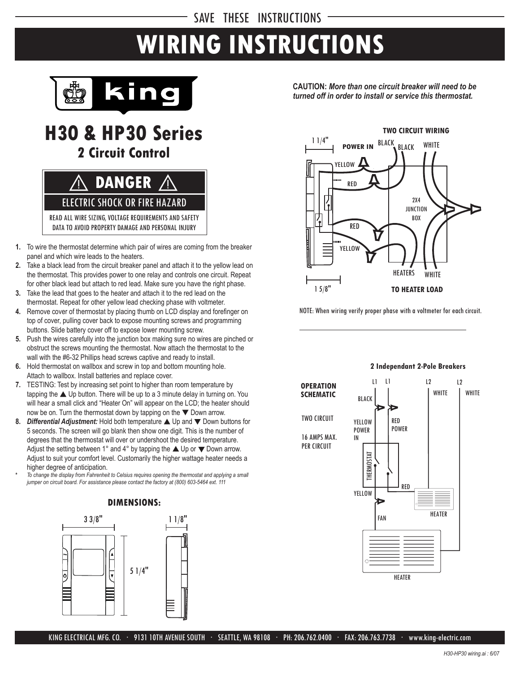# SAVE THESE INSTRUCTIONS

# **WIRING INSTRUCTIONS**



# **H30 & HP30 Series 2 Circuit Control**

! **DANGER** ! ELECTRIC SHOCK OR FIRE HAZARD READ ALL WIRE SIZING, VOLTAGE REQUIREMENTS AND SAFETY

DATA TO AVOID PROPERTY DAMAGE AND PERSONAL INJURY

- **1.** To wire the thermostat determine which pair of wires are coming from the breaker panel and which wire leads to the heaters.
- **2.** Take a black lead from the circuit breaker panel and attach it to the yellow lead on the thermostat. This provides power to one relay and controls one circuit. Repeat for other black lead but attach to red lead. Make sure you have the right phase.
- **3.** Take the lead that goes to the heater and attach it to the red lead on the thermostat. Repeat for other yellow lead checking phase with voltmeter.
- **4.** Remove cover of thermostat by placing thumb on LCD display and forefinger on top of cover, pulling cover back to expose mounting screws and programming buttons. Slide battery cover off to expose lower mounting screw.
- **5.** Push the wires carefully into the junction box making sure no wires are pinched or obstruct the screws mounting the thermostat. Now attach the thermostat to the wall with the #6-32 Phillips head screws captive and ready to install.
- **6.** Hold thermostat on wallbox and screw in top and bottom mounting hole. Attach to wallbox. Install batteries and replace cover.
- **7.** TESTING: Test by increasing set point to higher than room temperature by tapping the  $\triangle$  Up button. There will be up to a 3 minute delay in turning on. You will hear a small click and "Heater On" will appear on the LCD; the heater should now be on. Turn the thermostat down by tapping on the  $\nabla$  Down arrow.
- **8.** *Differential Adjustment:* Hold both temperature ▲ Up and ▼ Down buttons for 5 seconds. The screen will go blank then show one digit. This is the number of degrees that the thermostat will over or undershoot the desired temperature. Adjust the setting between 1° and 4° by tapping the  $\blacktriangle$  Up or  $\nabla$  Down arrow. Adjust to suit your comfort level. Customarily the higher wattage heater needs a higher degree of anticipation.
- **\*** *To change the display from Fahrenheit to Celsius requires opening the thermostat and applying a small jumper on circuit board. For assistance please contact the factory at (800) 603-5464 ext. 111*



**CAUTION:** *More than one circuit breaker will need to be turned off in order to install or service this thermostat.*



NOTE: When wiring verify proper phase with a voltmeter for each circuit.



#### **2 Independant 2-Pole Breakers**